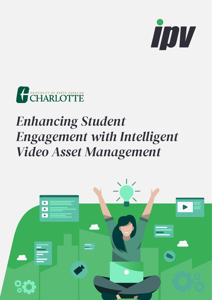



## *Student Enhancing Intelligent with Engagement Video Asset Management*

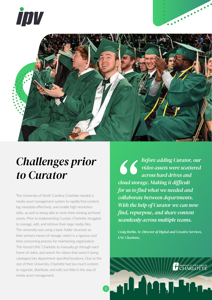



## *Challenges prior* to *Curator*

The University of North Carolina Charlotte needed a media asset management system to rapidly find content, log metadata effectively, and enable high-resolution edits, as well as being able to store their existing archived assets. Prior to implementing Curator, Charlotte struggled to manage, edit, and retrieve their large media files. The university was using a basic folder structure as their primary means of storage, which is a rigorous and time-consuming process for maintaining organization. This forced UNC Charlotte to manually go through each frame of video, and search for videos that weren't being cataloged into department-specified locations. Due to the size of their University, Charlotte had too much content to organize, distribute, and edit, but little in the way of media asset management.

*Before* adding Curator, our **1880 Before adding Curator, our video assets were scattered** *across hard drives and*  $cloud$  storage. Making it difficult *for us to find what we needed and*  $collaborate between departments.$ *With the help of Curator we can now find, repurpose, and share content seamlessly across multiple teams.* 

*Craig Berlin, Sr. Director of Digital and Creative Services, <i>UNC* Charlotte.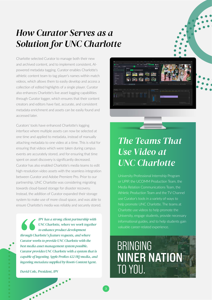#### *How Curator Serves as a* **Solution for UNC Charlotte**

Charlotte selected Curator to manage both their new powered metadata tagging. Curator enables Charlotte's and archived content, and to implement consistent, AIathletic content team to tag player's names within match videos, which allows them to easily develop and access a collection of edited highlights of a single player. Curator also enhances Charlotte's live asset logging capabilities through Curator logger, which ensures that their content creators and editors have fast, accurate, and consistent metadata enrichment and assets can be easily found and accessed later

Curators' tools have enhanced Charlotte's logging interface where multiple assets can now be selected at one time and applied to metadata, instead of manually attaching metadata to one video at a time. This is vital for ensuring that videos which were taken during campus events are accurately stored, and for ensuring that time spent on asset discovery is significantly decreased. Curator has also enabled Charlotte's media teams to edit high-resolution video assets with the seamless integrationbetween Curator and Adobe Premiere Pro. Prior to our partnership, UNC Charlotte was considering migrating towards cloud-based storage for disaster recovery. Instead, the addition of Curator expanded their storage system to make use of more cloud space, and was able to ensure Charlotte's media was reliably and securely stored.

*IPV* has a strong client partnership with *UNC Charlotte, where we work together to enhance product development through Charlotte's feature requests, and where* Curator works to provide UNC Charlotte with the best media asset management system possible. *Curator provides UNC Charlotte with a system that is* capable of ingesting Apple ProRes 422 HQ media, and ingesting metadata supplied by Root6 ContentAgent.

*David Cole, President, IPV* 

.......



#### *The Teams That Use Video at Charlotte UNC*

University Professional Internship Program or UPIP, the UCOMM Production Team, the Media Relation Communications Team, the Athletic Production Team and the TV Channel help promote UNC Charlotte. The teams at Charlotte use videos to help promote the University, engage students, provide necessary informational guides, and to help students gain valuable career-related experience.

## **BRINGING NINER NATION** TO YOU.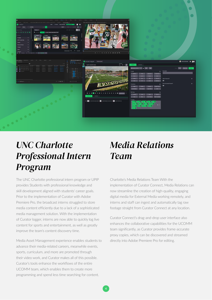

#### *Charlotte UNC Intern Professional Program*

The UNC Charlotte professional intern program or UPIP provides Students with professional knowledge and skill development aligned with students' career goals. Prior to the implementation of Curator with Adobe Premiere Pro, the broadcast interns struggled to store media content efficiently due to a lack of a sophisticated media management solution. With the implementation of Curator logger, interns are now able to quickly log live content for sports and entertainment, as well as greatly improve the team's content discovery time.

Media Asset Management experience enables students to advance their media-related careers, meanwhile events, sports, curriculum, and more are promoted through their video work, and Curator makes all of this possible. Curator's tools enhance the workflows of the entire UCOMM team, which enables them to create more programming and spend less time searching for content.

#### *Relations Media Team*

Charlotte's Media Relations Team With the implementation of Curator Connect, Media Relations can now streamline the creation of high-quality, engaging digital media for External Media working remotely, and interns and staff can ingest and automatically tag raw footage straight from Curator Connect at any location.

Curator Connect's drag-and-drop user interface also enhances the collaborative capabilities for the UCOMM team significantly, as Curator provides frame-accurate proxy copies, which can be discovered and streamed directly into Adobe Premiere Pro for editing.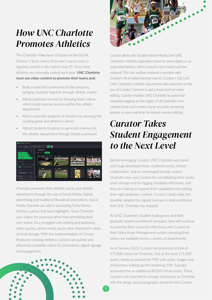### **How UNC Charlotte** *Athletics Promotes*

The Charlotte 49 ers have 18 teams in the NCAA Division 1 level, where their men's soccer team is regularly ranked in the nation's top-25. Since their athletics are nationally ranked each vear. **UNC Charlotte** must use video content to promote their teams and:

- Build a close knit community at the school by bringing students together through athletic events.
- Attract potential recruits by showing team culture which could improve success within the athletic department.
- Attract potential students or transfers by showing the exciting game and athletics culture.
- Attract students to games to generate revenue for the athletic department through tickets purchased.



Charlotte promotes their athletic events and athletic department through the use of Social Media, Digital advertising and traditional Broadcast promotions. Social Media channels are vital in promoting Forty Niners athletics culture and team highlights. Since Charlotte uses videos for purposes other than promoting their own teams, they struggled with editing and deploying video quickly, where media assets were displaced in deep archival storage. With the implementation of Curator, Producers creating Athletics content can quickly and effectively assemble videos for promotions, digital signage and engagement.





Curator allows the Student Niner Media, and UNC Charlotte's Athletic operations team to store videos in an organized fashion, which ensures near-instant archive retrieval. This fast archive retrieval is possible with Curator's AI-enabled faceted search, Curator's Clip Link. UNC Charlotte's athletic department also depends on the use of Curator Connect to get a head start on video editing. Curator enables UNC Charlotte to automate metadata tagging on the ingest of all Charlotte's live camera feeds and creates frame-accurate streaming proxies in near-real-time for instant remote editing!

#### *Takes Curator Engagement Student Level Level*

Before leveraging Curator, UNC Charlotte was mired with huge download times, scattered assets, limited collaboration, and an unmanaged storage system. Charlotte now uses Curator for consolidating their media asset storage and for logging metadata effectively, and they are looking to expand their capabilities into editing their high-resolution content. Curator's tools make this possible, despite the regular increase in total enrollment that UNC Charlotte has enjoyed.

As UNC Charlotte's student body grows and their graduate student enrollment increases, they will continue to promote their university effectively with Curator as their Video Asset Management system, ensuring their videos are available across a variety of departments.

As of January 2022, Curator has processed a total of 175,000 assets for Charlotte. Out of the total 175,000 assets, media accounted for 90% with audio, images and productions making up the remaining 10%. Subclips accounted for an additional 80,020 virtual assets. These numbers are expected to change extensively as Charlotte rolls the design and photography elements into Curator.